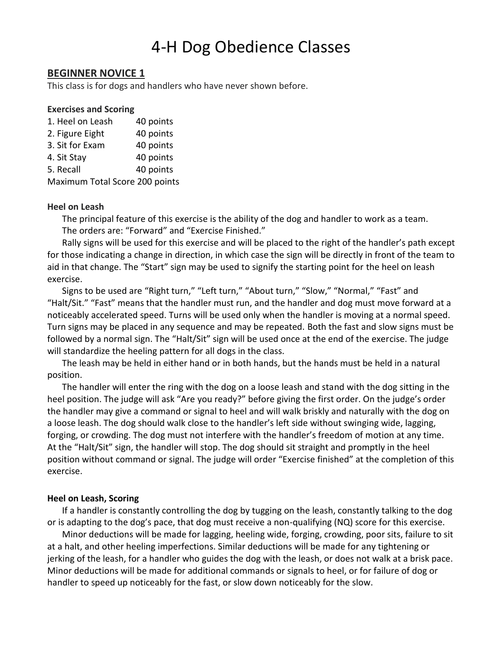# 4-H Dog Obedience Classes

# **BEGINNER NOVICE 1**

This class is for dogs and handlers who have never shown before.

## **Exercises and Scoring**

| 1. Heel on Leash | 40 points |
|------------------|-----------|
| 2. Figure Eight  | 40 points |
| 3. Sit for Exam  | 40 points |

4. Sit Stay 40 points

5. Recall 40 points

Maximum Total Score 200 points

## **Heel on Leash**

The principal feature of this exercise is the ability of the dog and handler to work as a team. The orders are: "Forward" and "Exercise Finished."

Rally signs will be used for this exercise and will be placed to the right of the handler's path except for those indicating a change in direction, in which case the sign will be directly in front of the team to aid in that change. The "Start" sign may be used to signify the starting point for the heel on leash exercise.

Signs to be used are "Right turn," "Left turn," "About turn," "Slow," "Normal," "Fast" and "Halt/Sit." "Fast" means that the handler must run, and the handler and dog must move forward at a noticeably accelerated speed. Turns will be used only when the handler is moving at a normal speed. Turn signs may be placed in any sequence and may be repeated. Both the fast and slow signs must be followed by a normal sign. The "Halt/Sit" sign will be used once at the end of the exercise. The judge will standardize the heeling pattern for all dogs in the class.

The leash may be held in either hand or in both hands, but the hands must be held in a natural position.

The handler will enter the ring with the dog on a loose leash and stand with the dog sitting in the heel position. The judge will ask "Are you ready?" before giving the first order. On the judge's order the handler may give a command or signal to heel and will walk briskly and naturally with the dog on a loose leash. The dog should walk close to the handler's left side without swinging wide, lagging, forging, or crowding. The dog must not interfere with the handler's freedom of motion at any time. At the "Halt/Sit" sign, the handler will stop. The dog should sit straight and promptly in the heel position without command or signal. The judge will order "Exercise finished" at the completion of this exercise.

## **Heel on Leash, Scoring**

If a handler is constantly controlling the dog by tugging on the leash, constantly talking to the dog or is adapting to the dog's pace, that dog must receive a non-qualifying (NQ) score for this exercise.

Minor deductions will be made for lagging, heeling wide, forging, crowding, poor sits, failure to sit at a halt, and other heeling imperfections. Similar deductions will be made for any tightening or jerking of the leash, for a handler who guides the dog with the leash, or does not walk at a brisk pace. Minor deductions will be made for additional commands or signals to heel, or for failure of dog or handler to speed up noticeably for the fast, or slow down noticeably for the slow.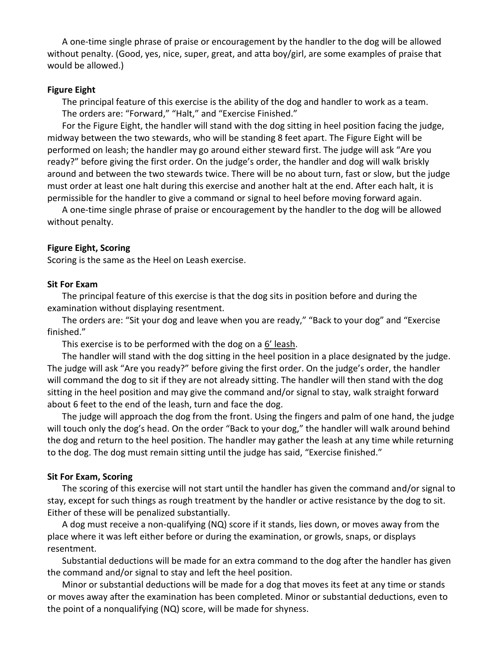A one-time single phrase of praise or encouragement by the handler to the dog will be allowed without penalty. (Good, yes, nice, super, great, and atta boy/girl, are some examples of praise that would be allowed.)

## **Figure Eight**

The principal feature of this exercise is the ability of the dog and handler to work as a team. The orders are: "Forward," "Halt," and "Exercise Finished."

For the Figure Eight, the handler will stand with the dog sitting in heel position facing the judge, midway between the two stewards, who will be standing 8 feet apart. The Figure Eight will be performed on leash; the handler may go around either steward first. The judge will ask "Are you ready?" before giving the first order. On the judge's order, the handler and dog will walk briskly around and between the two stewards twice. There will be no about turn, fast or slow, but the judge must order at least one halt during this exercise and another halt at the end. After each halt, it is permissible for the handler to give a command or signal to heel before moving forward again.

A one-time single phrase of praise or encouragement by the handler to the dog will be allowed without penalty.

#### **Figure Eight, Scoring**

Scoring is the same as the Heel on Leash exercise.

#### **Sit For Exam**

The principal feature of this exercise is that the dog sits in position before and during the examination without displaying resentment.

The orders are: "Sit your dog and leave when you are ready," "Back to your dog" and "Exercise finished."

This exercise is to be performed with the dog on a 6' leash.

The handler will stand with the dog sitting in the heel position in a place designated by the judge. The judge will ask "Are you ready?" before giving the first order. On the judge's order, the handler will command the dog to sit if they are not already sitting. The handler will then stand with the dog sitting in the heel position and may give the command and/or signal to stay, walk straight forward about 6 feet to the end of the leash, turn and face the dog.

The judge will approach the dog from the front. Using the fingers and palm of one hand, the judge will touch only the dog's head. On the order "Back to your dog," the handler will walk around behind the dog and return to the heel position. The handler may gather the leash at any time while returning to the dog. The dog must remain sitting until the judge has said, "Exercise finished."

#### **Sit For Exam, Scoring**

The scoring of this exercise will not start until the handler has given the command and/or signal to stay, except for such things as rough treatment by the handler or active resistance by the dog to sit. Either of these will be penalized substantially.

A dog must receive a non-qualifying (NQ) score if it stands, lies down, or moves away from the place where it was left either before or during the examination, or growls, snaps, or displays resentment.

Substantial deductions will be made for an extra command to the dog after the handler has given the command and/or signal to stay and left the heel position.

Minor or substantial deductions will be made for a dog that moves its feet at any time or stands or moves away after the examination has been completed. Minor or substantial deductions, even to the point of a nonqualifying (NQ) score, will be made for shyness.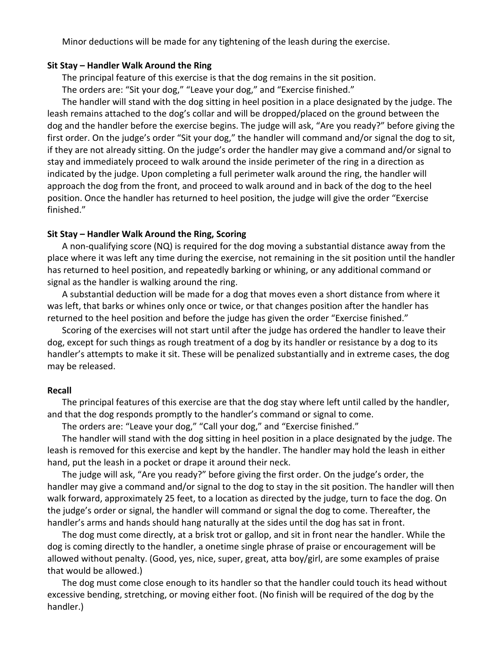Minor deductions will be made for any tightening of the leash during the exercise.

#### **Sit Stay – Handler Walk Around the Ring**

The principal feature of this exercise is that the dog remains in the sit position.

The orders are: "Sit your dog," "Leave your dog," and "Exercise finished."

The handler will stand with the dog sitting in heel position in a place designated by the judge. The leash remains attached to the dog's collar and will be dropped/placed on the ground between the dog and the handler before the exercise begins. The judge will ask, "Are you ready?" before giving the first order. On the judge's order "Sit your dog," the handler will command and/or signal the dog to sit, if they are not already sitting. On the judge's order the handler may give a command and/or signal to stay and immediately proceed to walk around the inside perimeter of the ring in a direction as indicated by the judge. Upon completing a full perimeter walk around the ring, the handler will approach the dog from the front, and proceed to walk around and in back of the dog to the heel position. Once the handler has returned to heel position, the judge will give the order "Exercise finished."

#### **Sit Stay – Handler Walk Around the Ring, Scoring**

A non-qualifying score (NQ) is required for the dog moving a substantial distance away from the place where it was left any time during the exercise, not remaining in the sit position until the handler has returned to heel position, and repeatedly barking or whining, or any additional command or signal as the handler is walking around the ring.

A substantial deduction will be made for a dog that moves even a short distance from where it was left, that barks or whines only once or twice, or that changes position after the handler has returned to the heel position and before the judge has given the order "Exercise finished."

Scoring of the exercises will not start until after the judge has ordered the handler to leave their dog, except for such things as rough treatment of a dog by its handler or resistance by a dog to its handler's attempts to make it sit. These will be penalized substantially and in extreme cases, the dog may be released.

#### **Recall**

The principal features of this exercise are that the dog stay where left until called by the handler, and that the dog responds promptly to the handler's command or signal to come.

The orders are: "Leave your dog," "Call your dog," and "Exercise finished."

The handler will stand with the dog sitting in heel position in a place designated by the judge. The leash is removed for this exercise and kept by the handler. The handler may hold the leash in either hand, put the leash in a pocket or drape it around their neck.

The judge will ask, "Are you ready?" before giving the first order. On the judge's order, the handler may give a command and/or signal to the dog to stay in the sit position. The handler will then walk forward, approximately 25 feet, to a location as directed by the judge, turn to face the dog. On the judge's order or signal, the handler will command or signal the dog to come. Thereafter, the handler's arms and hands should hang naturally at the sides until the dog has sat in front.

The dog must come directly, at a brisk trot or gallop, and sit in front near the handler. While the dog is coming directly to the handler, a onetime single phrase of praise or encouragement will be allowed without penalty. (Good, yes, nice, super, great, atta boy/girl, are some examples of praise that would be allowed.)

The dog must come close enough to its handler so that the handler could touch its head without excessive bending, stretching, or moving either foot. (No finish will be required of the dog by the handler.)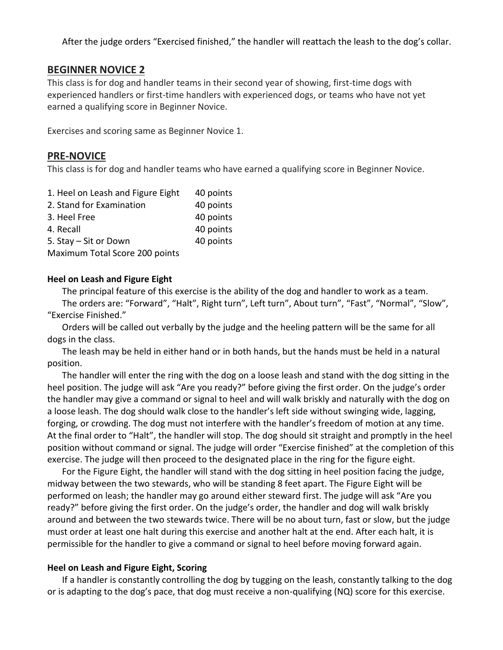After the judge orders "Exercised finished," the handler will reattach the leash to the dog's collar.

# **BEGINNER NOVICE 2**

This class is for dog and handler teams in their second year of showing, first-time dogs with experienced handlers or first-time handlers with experienced dogs, or teams who have not yet earned a qualifying score in Beginner Novice.

Exercises and scoring same as Beginner Novice 1.

# **PRE-NOVICE**

This class is for dog and handler teams who have earned a qualifying score in Beginner Novice.

| 1. Heel on Leash and Figure Eight | 40 points |
|-----------------------------------|-----------|
| 2. Stand for Examination          | 40 points |
| 3. Heel Free                      | 40 points |
| 4. Recall                         | 40 points |
| 5. Stay - Sit or Down             | 40 points |
| Maximum Total Score 200 points    |           |

## **Heel on Leash and Figure Eight**

The principal feature of this exercise is the ability of the dog and handler to work as a team.

The orders are: "Forward", "Halt", Right turn", Left turn", About turn", "Fast", "Normal", "Slow", "Exercise Finished."

Orders will be called out verbally by the judge and the heeling pattern will be the same for all dogs in the class.

The leash may be held in either hand or in both hands, but the hands must be held in a natural position.

The handler will enter the ring with the dog on a loose leash and stand with the dog sitting in the heel position. The judge will ask "Are you ready?" before giving the first order. On the judge's order the handler may give a command or signal to heel and will walk briskly and naturally with the dog on a loose leash. The dog should walk close to the handler's left side without swinging wide, lagging, forging, or crowding. The dog must not interfere with the handler's freedom of motion at any time. At the final order to "Halt", the handler will stop. The dog should sit straight and promptly in the heel position without command or signal. The judge will order "Exercise finished" at the completion of this exercise. The judge will then proceed to the designated place in the ring for the figure eight.

For the Figure Eight, the handler will stand with the dog sitting in heel position facing the judge, midway between the two stewards, who will be standing 8 feet apart. The Figure Eight will be performed on leash; the handler may go around either steward first. The judge will ask "Are you ready?" before giving the first order. On the judge's order, the handler and dog will walk briskly around and between the two stewards twice. There will be no about turn, fast or slow, but the judge must order at least one halt during this exercise and another halt at the end. After each halt, it is permissible for the handler to give a command or signal to heel before moving forward again.

## **Heel on Leash and Figure Eight, Scoring**

If a handler is constantly controlling the dog by tugging on the leash, constantly talking to the dog or is adapting to the dog's pace, that dog must receive a non-qualifying (NQ) score for this exercise.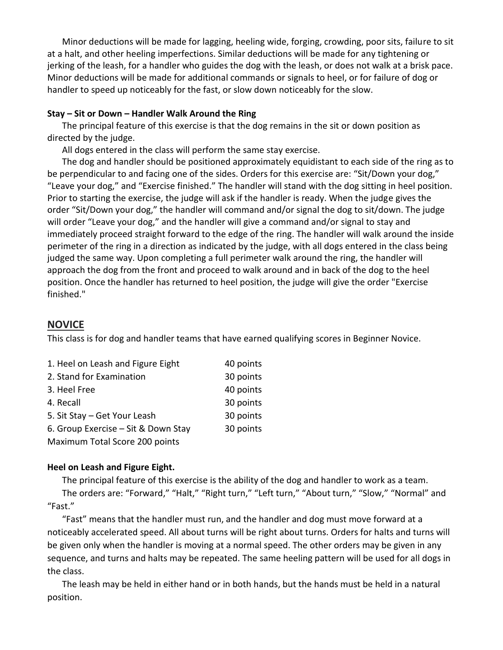Minor deductions will be made for lagging, heeling wide, forging, crowding, poor sits, failure to sit at a halt, and other heeling imperfections. Similar deductions will be made for any tightening or jerking of the leash, for a handler who guides the dog with the leash, or does not walk at a brisk pace. Minor deductions will be made for additional commands or signals to heel, or for failure of dog or handler to speed up noticeably for the fast, or slow down noticeably for the slow.

#### **Stay – Sit or Down – Handler Walk Around the Ring**

The principal feature of this exercise is that the dog remains in the sit or down position as directed by the judge.

All dogs entered in the class will perform the same stay exercise.

The dog and handler should be positioned approximately equidistant to each side of the ring as to be perpendicular to and facing one of the sides. Orders for this exercise are: "Sit/Down your dog," "Leave your dog," and "Exercise finished." The handler will stand with the dog sitting in heel position. Prior to starting the exercise, the judge will ask if the handler is ready. When the judge gives the order "Sit/Down your dog," the handler will command and/or signal the dog to sit/down. The judge will order "Leave your dog," and the handler will give a command and/or signal to stay and immediately proceed straight forward to the edge of the ring. The handler will walk around the inside perimeter of the ring in a direction as indicated by the judge, with all dogs entered in the class being judged the same way. Upon completing a full perimeter walk around the ring, the handler will approach the dog from the front and proceed to walk around and in back of the dog to the heel position. Once the handler has returned to heel position, the judge will give the order "Exercise finished."

# **NOVICE**

This class is for dog and handler teams that have earned qualifying scores in Beginner Novice.

| 1. Heel on Leash and Figure Eight   | 40 points |
|-------------------------------------|-----------|
| 2. Stand for Examination            | 30 points |
| 3. Heel Free                        | 40 points |
| 4. Recall                           | 30 points |
| 5. Sit Stay - Get Your Leash        | 30 points |
| 6. Group Exercise – Sit & Down Stay | 30 points |
| Maximum Total Score 200 points      |           |

# **Heel on Leash and Figure Eight.**

The principal feature of this exercise is the ability of the dog and handler to work as a team. The orders are: "Forward," "Halt," "Right turn," "Left turn," "About turn," "Slow," "Normal" and "Fast."

"Fast" means that the handler must run, and the handler and dog must move forward at a noticeably accelerated speed. All about turns will be right about turns. Orders for halts and turns will be given only when the handler is moving at a normal speed. The other orders may be given in any sequence, and turns and halts may be repeated. The same heeling pattern will be used for all dogs in the class.

The leash may be held in either hand or in both hands, but the hands must be held in a natural position.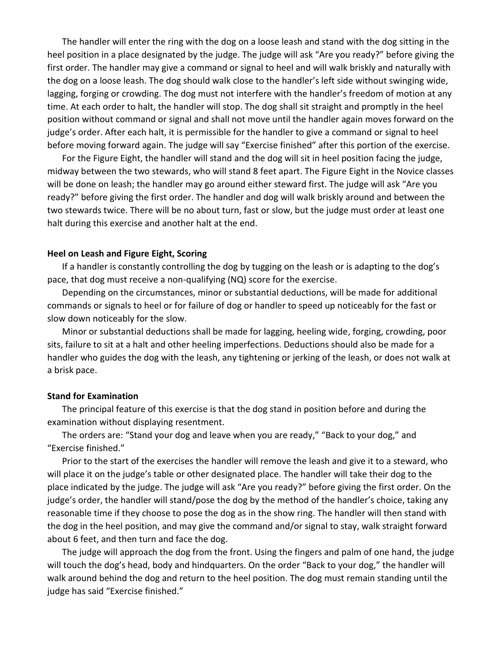The handler will enter the ring with the dog on a loose leash and stand with the dog sitting in the heel position in a place designated by the judge. The judge will ask "Are you ready?" before giving the first order. The handler may give a command or signal to heel and will walk briskly and naturally with the dog on a loose leash. The dog should walk close to the handler's left side without swinging wide, lagging, forging or crowding. The dog must not interfere with the handler's freedom of motion at any time. At each order to halt, the handler will stop. The dog shall sit straight and promptly in the heel position without command or signal and shall not move until the handler again moves forward on the judge's order. After each halt, it is permissible for the handler to give a command or signal to heel before moving forward again. The judge will say "Exercise finished" after this portion of the exercise.

For the Figure Eight, the handler will stand and the dog will sit in heel position facing the judge, midway between the two stewards, who will stand 8 feet apart. The Figure Eight in the Novice classes will be done on leash; the handler may go around either steward first. The judge will ask "Are you ready?" before giving the first order. The handler and dog will walk briskly around and between the two stewards twice. There will be no about turn, fast or slow, but the judge must order at least one halt during this exercise and another halt at the end.

#### **Heel on Leash and Figure Eight, Scoring**

If a handler is constantly controlling the dog by tugging on the leash or is adapting to the dog's pace, that dog must receive a non-qualifying (NQ) score for the exercise.

Depending on the circumstances, minor or substantial deductions, will be made for additional commands or signals to heel or for failure of dog or handler to speed up noticeably for the fast or slow down noticeably for the slow.

Minor or substantial deductions shall be made for lagging, heeling wide, forging, crowding, poor sits, failure to sit at a halt and other heeling imperfections. Deductions should also be made for a handler who guides the dog with the leash, any tightening or jerking of the leash, or does not walk at a brisk pace.

#### **Stand for Examination**

The principal feature of this exercise is that the dog stand in position before and during the examination without displaying resentment.

The orders are: "Stand your dog and leave when you are ready," "Back to your dog," and "Exercise finished."

Prior to the start of the exercises the handler will remove the leash and give it to a steward, who will place it on the judge's table or other designated place. The handler will take their dog to the place indicated by the judge. The judge will ask "Are you ready?" before giving the first order. On the judge's order, the handler will stand/pose the dog by the method of the handler's choice, taking any reasonable time if they choose to pose the dog as in the show ring. The handler will then stand with the dog in the heel position, and may give the command and/or signal to stay, walk straight forward about 6 feet, and then turn and face the dog.

The judge will approach the dog from the front. Using the fingers and palm of one hand, the judge will touch the dog's head, body and hindquarters. On the order "Back to your dog," the handler will walk around behind the dog and return to the heel position. The dog must remain standing until the judge has said "Exercise finished."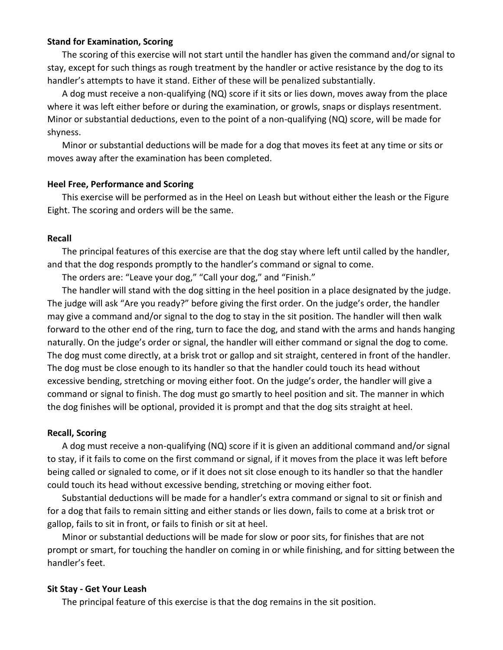## **Stand for Examination, Scoring**

The scoring of this exercise will not start until the handler has given the command and/or signal to stay, except for such things as rough treatment by the handler or active resistance by the dog to its handler's attempts to have it stand. Either of these will be penalized substantially.

A dog must receive a non-qualifying (NQ) score if it sits or lies down, moves away from the place where it was left either before or during the examination, or growls, snaps or displays resentment. Minor or substantial deductions, even to the point of a non-qualifying (NQ) score, will be made for shyness.

Minor or substantial deductions will be made for a dog that moves its feet at any time or sits or moves away after the examination has been completed.

#### **Heel Free, Performance and Scoring**

This exercise will be performed as in the Heel on Leash but without either the leash or the Figure Eight. The scoring and orders will be the same.

#### **Recall**

The principal features of this exercise are that the dog stay where left until called by the handler, and that the dog responds promptly to the handler's command or signal to come.

The orders are: "Leave your dog," "Call your dog," and "Finish."

The handler will stand with the dog sitting in the heel position in a place designated by the judge. The judge will ask "Are you ready?" before giving the first order. On the judge's order, the handler may give a command and/or signal to the dog to stay in the sit position. The handler will then walk forward to the other end of the ring, turn to face the dog, and stand with the arms and hands hanging naturally. On the judge's order or signal, the handler will either command or signal the dog to come. The dog must come directly, at a brisk trot or gallop and sit straight, centered in front of the handler. The dog must be close enough to its handler so that the handler could touch its head without excessive bending, stretching or moving either foot. On the judge's order, the handler will give a command or signal to finish. The dog must go smartly to heel position and sit. The manner in which the dog finishes will be optional, provided it is prompt and that the dog sits straight at heel.

#### **Recall, Scoring**

A dog must receive a non-qualifying (NQ) score if it is given an additional command and/or signal to stay, if it fails to come on the first command or signal, if it moves from the place it was left before being called or signaled to come, or if it does not sit close enough to its handler so that the handler could touch its head without excessive bending, stretching or moving either foot.

Substantial deductions will be made for a handler's extra command or signal to sit or finish and for a dog that fails to remain sitting and either stands or lies down, fails to come at a brisk trot or gallop, fails to sit in front, or fails to finish or sit at heel.

Minor or substantial deductions will be made for slow or poor sits, for finishes that are not prompt or smart, for touching the handler on coming in or while finishing, and for sitting between the handler's feet.

#### **Sit Stay - Get Your Leash**

The principal feature of this exercise is that the dog remains in the sit position.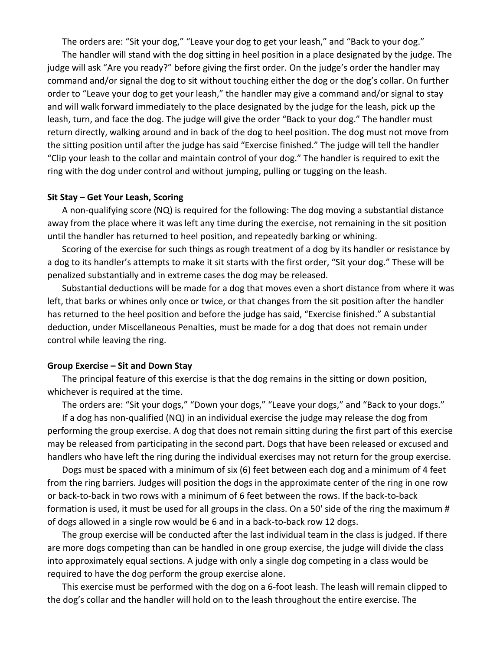The orders are: "Sit your dog," "Leave your dog to get your leash," and "Back to your dog."

The handler will stand with the dog sitting in heel position in a place designated by the judge. The judge will ask "Are you ready?" before giving the first order. On the judge's order the handler may command and/or signal the dog to sit without touching either the dog or the dog's collar. On further order to "Leave your dog to get your leash," the handler may give a command and/or signal to stay and will walk forward immediately to the place designated by the judge for the leash, pick up the leash, turn, and face the dog. The judge will give the order "Back to your dog." The handler must return directly, walking around and in back of the dog to heel position. The dog must not move from the sitting position until after the judge has said "Exercise finished." The judge will tell the handler "Clip your leash to the collar and maintain control of your dog." The handler is required to exit the ring with the dog under control and without jumping, pulling or tugging on the leash.

#### **Sit Stay – Get Your Leash, Scoring**

A non-qualifying score (NQ) is required for the following: The dog moving a substantial distance away from the place where it was left any time during the exercise, not remaining in the sit position until the handler has returned to heel position, and repeatedly barking or whining.

Scoring of the exercise for such things as rough treatment of a dog by its handler or resistance by a dog to its handler's attempts to make it sit starts with the first order, "Sit your dog." These will be penalized substantially and in extreme cases the dog may be released.

Substantial deductions will be made for a dog that moves even a short distance from where it was left, that barks or whines only once or twice, or that changes from the sit position after the handler has returned to the heel position and before the judge has said, "Exercise finished." A substantial deduction, under Miscellaneous Penalties, must be made for a dog that does not remain under control while leaving the ring.

#### **Group Exercise – Sit and Down Stay**

The principal feature of this exercise is that the dog remains in the sitting or down position, whichever is required at the time.

The orders are: "Sit your dogs," "Down your dogs," "Leave your dogs," and "Back to your dogs."

If a dog has non-qualified (NQ) in an individual exercise the judge may release the dog from performing the group exercise. A dog that does not remain sitting during the first part of this exercise may be released from participating in the second part. Dogs that have been released or excused and handlers who have left the ring during the individual exercises may not return for the group exercise.

Dogs must be spaced with a minimum of six (6) feet between each dog and a minimum of 4 feet from the ring barriers. Judges will position the dogs in the approximate center of the ring in one row or back-to-back in two rows with a minimum of 6 feet between the rows. If the back-to-back formation is used, it must be used for all groups in the class. On a 50' side of the ring the maximum # of dogs allowed in a single row would be 6 and in a back-to-back row 12 dogs.

The group exercise will be conducted after the last individual team in the class is judged. If there are more dogs competing than can be handled in one group exercise, the judge will divide the class into approximately equal sections. A judge with only a single dog competing in a class would be required to have the dog perform the group exercise alone.

This exercise must be performed with the dog on a 6-foot leash. The leash will remain clipped to the dog's collar and the handler will hold on to the leash throughout the entire exercise. The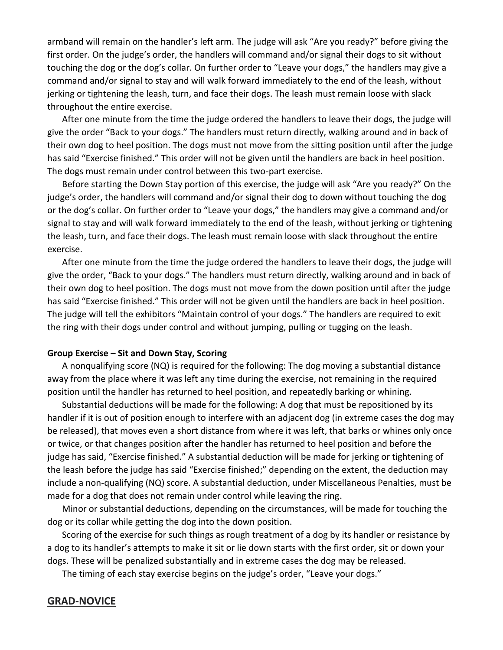armband will remain on the handler's left arm. The judge will ask "Are you ready?" before giving the first order. On the judge's order, the handlers will command and/or signal their dogs to sit without touching the dog or the dog's collar. On further order to "Leave your dogs," the handlers may give a command and/or signal to stay and will walk forward immediately to the end of the leash, without jerking or tightening the leash, turn, and face their dogs. The leash must remain loose with slack throughout the entire exercise.

After one minute from the time the judge ordered the handlers to leave their dogs, the judge will give the order "Back to your dogs." The handlers must return directly, walking around and in back of their own dog to heel position. The dogs must not move from the sitting position until after the judge has said "Exercise finished." This order will not be given until the handlers are back in heel position. The dogs must remain under control between this two-part exercise.

Before starting the Down Stay portion of this exercise, the judge will ask "Are you ready?" On the judge's order, the handlers will command and/or signal their dog to down without touching the dog or the dog's collar. On further order to "Leave your dogs," the handlers may give a command and/or signal to stay and will walk forward immediately to the end of the leash, without jerking or tightening the leash, turn, and face their dogs. The leash must remain loose with slack throughout the entire exercise.

After one minute from the time the judge ordered the handlers to leave their dogs, the judge will give the order, "Back to your dogs." The handlers must return directly, walking around and in back of their own dog to heel position. The dogs must not move from the down position until after the judge has said "Exercise finished." This order will not be given until the handlers are back in heel position. The judge will tell the exhibitors "Maintain control of your dogs." The handlers are required to exit the ring with their dogs under control and without jumping, pulling or tugging on the leash.

#### **Group Exercise – Sit and Down Stay, Scoring**

A nonqualifying score (NQ) is required for the following: The dog moving a substantial distance away from the place where it was left any time during the exercise, not remaining in the required position until the handler has returned to heel position, and repeatedly barking or whining.

Substantial deductions will be made for the following: A dog that must be repositioned by its handler if it is out of position enough to interfere with an adjacent dog (in extreme cases the dog may be released), that moves even a short distance from where it was left, that barks or whines only once or twice, or that changes position after the handler has returned to heel position and before the judge has said, "Exercise finished." A substantial deduction will be made for jerking or tightening of the leash before the judge has said "Exercise finished;" depending on the extent, the deduction may include a non-qualifying (NQ) score. A substantial deduction, under Miscellaneous Penalties, must be made for a dog that does not remain under control while leaving the ring.

Minor or substantial deductions, depending on the circumstances, will be made for touching the dog or its collar while getting the dog into the down position.

Scoring of the exercise for such things as rough treatment of a dog by its handler or resistance by a dog to its handler's attempts to make it sit or lie down starts with the first order, sit or down your dogs. These will be penalized substantially and in extreme cases the dog may be released.

The timing of each stay exercise begins on the judge's order, "Leave your dogs."

## **GRAD-NOVICE**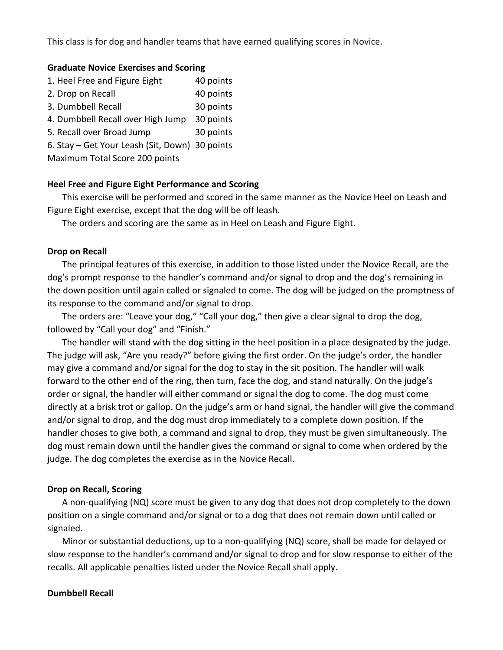This class is for dog and handler teams that have earned qualifying scores in Novice.

#### **Graduate Novice Exercises and Scoring**

| 1. Heel Free and Figure Eight                  | 40 points |
|------------------------------------------------|-----------|
| 2. Drop on Recall                              | 40 points |
| 3. Dumbbell Recall                             | 30 points |
| 4. Dumbbell Recall over High Jump              | 30 points |
| 5. Recall over Broad Jump                      | 30 points |
| 6. Stay - Get Your Leash (Sit, Down) 30 points |           |
| Maximum Total Score 200 points                 |           |

## **Heel Free and Figure Eight Performance and Scoring**

This exercise will be performed and scored in the same manner as the Novice Heel on Leash and Figure Eight exercise, except that the dog will be off leash.

The orders and scoring are the same as in Heel on Leash and Figure Eight.

#### **Drop on Recall**

The principal features of this exercise, in addition to those listed under the Novice Recall, are the dog's prompt response to the handler's command and/or signal to drop and the dog's remaining in the down position until again called or signaled to come. The dog will be judged on the promptness of its response to the command and/or signal to drop.

The orders are: "Leave your dog," "Call your dog," then give a clear signal to drop the dog, followed by "Call your dog" and "Finish."

The handler will stand with the dog sitting in the heel position in a place designated by the judge. The judge will ask, "Are you ready?" before giving the first order. On the judge's order, the handler may give a command and/or signal for the dog to stay in the sit position. The handler will walk forward to the other end of the ring, then turn, face the dog, and stand naturally. On the judge's order or signal, the handler will either command or signal the dog to come. The dog must come directly at a brisk trot or gallop. On the judge's arm or hand signal, the handler will give the command and/or signal to drop, and the dog must drop immediately to a complete down position. If the handler choses to give both, a command and signal to drop, they must be given simultaneously. The dog must remain down until the handler gives the command or signal to come when ordered by the judge. The dog completes the exercise as in the Novice Recall.

#### **Drop on Recall, Scoring**

A non-qualifying (NQ) score must be given to any dog that does not drop completely to the down position on a single command and/or signal or to a dog that does not remain down until called or signaled.

Minor or substantial deductions, up to a non-qualifying (NQ) score, shall be made for delayed or slow response to the handler's command and/or signal to drop and for slow response to either of the recalls. All applicable penalties listed under the Novice Recall shall apply.

## **Dumbbell Recall**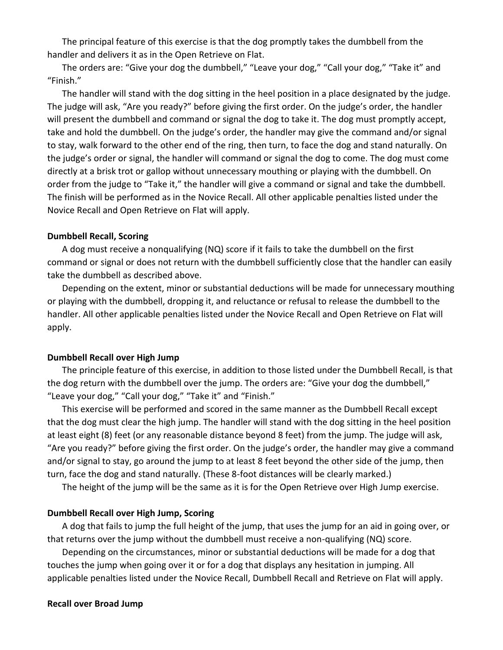The principal feature of this exercise is that the dog promptly takes the dumbbell from the handler and delivers it as in the Open Retrieve on Flat.

The orders are: "Give your dog the dumbbell," "Leave your dog," "Call your dog," "Take it" and "Finish."

The handler will stand with the dog sitting in the heel position in a place designated by the judge. The judge will ask, "Are you ready?" before giving the first order. On the judge's order, the handler will present the dumbbell and command or signal the dog to take it. The dog must promptly accept, take and hold the dumbbell. On the judge's order, the handler may give the command and/or signal to stay, walk forward to the other end of the ring, then turn, to face the dog and stand naturally. On the judge's order or signal, the handler will command or signal the dog to come. The dog must come directly at a brisk trot or gallop without unnecessary mouthing or playing with the dumbbell. On order from the judge to "Take it," the handler will give a command or signal and take the dumbbell. The finish will be performed as in the Novice Recall. All other applicable penalties listed under the Novice Recall and Open Retrieve on Flat will apply.

#### **Dumbbell Recall, Scoring**

A dog must receive a nonqualifying (NQ) score if it fails to take the dumbbell on the first command or signal or does not return with the dumbbell sufficiently close that the handler can easily take the dumbbell as described above.

Depending on the extent, minor or substantial deductions will be made for unnecessary mouthing or playing with the dumbbell, dropping it, and reluctance or refusal to release the dumbbell to the handler. All other applicable penalties listed under the Novice Recall and Open Retrieve on Flat will apply.

## **Dumbbell Recall over High Jump**

The principle feature of this exercise, in addition to those listed under the Dumbbell Recall, is that the dog return with the dumbbell over the jump. The orders are: "Give your dog the dumbbell," "Leave your dog," "Call your dog," "Take it" and "Finish."

This exercise will be performed and scored in the same manner as the Dumbbell Recall except that the dog must clear the high jump. The handler will stand with the dog sitting in the heel position at least eight (8) feet (or any reasonable distance beyond 8 feet) from the jump. The judge will ask, "Are you ready?" before giving the first order. On the judge's order, the handler may give a command and/or signal to stay, go around the jump to at least 8 feet beyond the other side of the jump, then turn, face the dog and stand naturally. (These 8-foot distances will be clearly marked.)

The height of the jump will be the same as it is for the Open Retrieve over High Jump exercise.

#### **Dumbbell Recall over High Jump, Scoring**

A dog that fails to jump the full height of the jump, that uses the jump for an aid in going over, or that returns over the jump without the dumbbell must receive a non-qualifying (NQ) score.

Depending on the circumstances, minor or substantial deductions will be made for a dog that touches the jump when going over it or for a dog that displays any hesitation in jumping. All applicable penalties listed under the Novice Recall, Dumbbell Recall and Retrieve on Flat will apply.

#### **Recall over Broad Jump**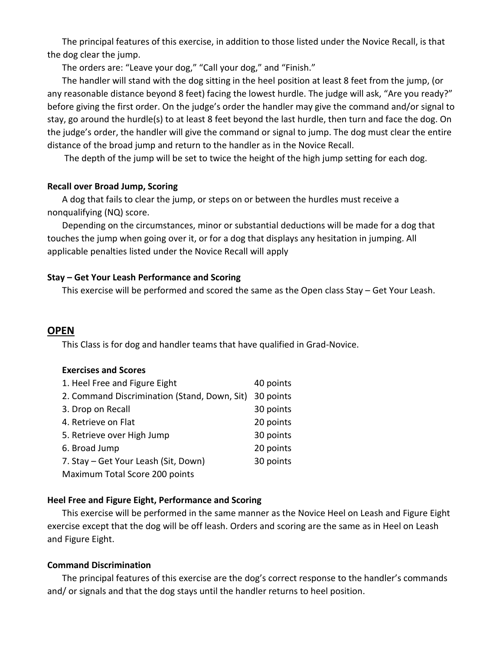The principal features of this exercise, in addition to those listed under the Novice Recall, is that the dog clear the jump.

The orders are: "Leave your dog," "Call your dog," and "Finish."

The handler will stand with the dog sitting in the heel position at least 8 feet from the jump, (or any reasonable distance beyond 8 feet) facing the lowest hurdle. The judge will ask, "Are you ready?" before giving the first order. On the judge's order the handler may give the command and/or signal to stay, go around the hurdle(s) to at least 8 feet beyond the last hurdle, then turn and face the dog. On the judge's order, the handler will give the command or signal to jump. The dog must clear the entire distance of the broad jump and return to the handler as in the Novice Recall.

The depth of the jump will be set to twice the height of the high jump setting for each dog.

## **Recall over Broad Jump, Scoring**

A dog that fails to clear the jump, or steps on or between the hurdles must receive a nonqualifying (NQ) score.

Depending on the circumstances, minor or substantial deductions will be made for a dog that touches the jump when going over it, or for a dog that displays any hesitation in jumping. All applicable penalties listed under the Novice Recall will apply

## **Stay – Get Your Leash Performance and Scoring**

This exercise will be performed and scored the same as the Open class Stay – Get Your Leash.

# **OPEN**

This Class is for dog and handler teams that have qualified in Grad-Novice.

## **Exercises and Scores**

| 1. Heel Free and Figure Eight                | 40 points |
|----------------------------------------------|-----------|
| 2. Command Discrimination (Stand, Down, Sit) | 30 points |
| 3. Drop on Recall                            | 30 points |
| 4. Retrieve on Flat                          | 20 points |
| 5. Retrieve over High Jump                   | 30 points |
| 6. Broad Jump                                | 20 points |
| 7. Stay – Get Your Leash (Sit, Down)         | 30 points |
| Maximum Total Score 200 points               |           |

# **Heel Free and Figure Eight, Performance and Scoring**

This exercise will be performed in the same manner as the Novice Heel on Leash and Figure Eight exercise except that the dog will be off leash. Orders and scoring are the same as in Heel on Leash and Figure Eight.

## **Command Discrimination**

The principal features of this exercise are the dog's correct response to the handler's commands and/ or signals and that the dog stays until the handler returns to heel position.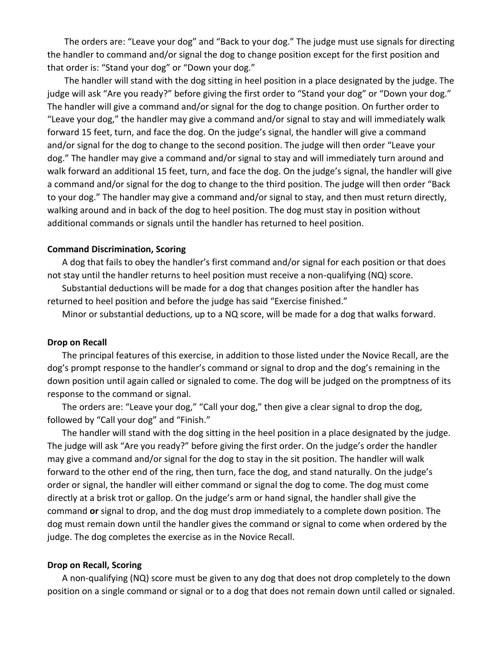The orders are: "Leave your dog" and "Back to your dog." The judge must use signals for directing the handler to command and/or signal the dog to change position except for the first position and that order is: "Stand your dog" or "Down your dog."

The handler will stand with the dog sitting in heel position in a place designated by the judge. The judge will ask "Are you ready?" before giving the first order to "Stand your dog" or "Down your dog." The handler will give a command and/or signal for the dog to change position. On further order to "Leave your dog," the handler may give a command and/or signal to stay and will immediately walk forward 15 feet, turn, and face the dog. On the judge's signal, the handler will give a command and/or signal for the dog to change to the second position. The judge will then order "Leave your dog." The handler may give a command and/or signal to stay and will immediately turn around and walk forward an additional 15 feet, turn, and face the dog. On the judge's signal, the handler will give a command and/or signal for the dog to change to the third position. The judge will then order "Back to your dog." The handler may give a command and/or signal to stay, and then must return directly, walking around and in back of the dog to heel position. The dog must stay in position without additional commands or signals until the handler has returned to heel position.

#### **Command Discrimination, Scoring**

A dog that fails to obey the handler's first command and/or signal for each position or that does not stay until the handler returns to heel position must receive a non-qualifying (NQ) score.

Substantial deductions will be made for a dog that changes position after the handler has returned to heel position and before the judge has said "Exercise finished."

Minor or substantial deductions, up to a NQ score, will be made for a dog that walks forward.

#### **Drop on Recall**

The principal features of this exercise, in addition to those listed under the Novice Recall, are the dog's prompt response to the handler's command or signal to drop and the dog's remaining in the down position until again called or signaled to come. The dog will be judged on the promptness of its response to the command or signal.

The orders are: "Leave your dog," "Call your dog," then give a clear signal to drop the dog, followed by "Call your dog" and "Finish."

The handler will stand with the dog sitting in the heel position in a place designated by the judge. The judge will ask "Are you ready?" before giving the first order. On the judge's order the handler may give a command and/or signal for the dog to stay in the sit position. The handler will walk forward to the other end of the ring, then turn, face the dog, and stand naturally. On the judge's order or signal, the handler will either command or signal the dog to come. The dog must come directly at a brisk trot or gallop. On the judge's arm or hand signal, the handler shall give the command **or** signal to drop, and the dog must drop immediately to a complete down position. The dog must remain down until the handler gives the command or signal to come when ordered by the judge. The dog completes the exercise as in the Novice Recall.

#### **Drop on Recall, Scoring**

A non-qualifying (NQ) score must be given to any dog that does not drop completely to the down position on a single command or signal or to a dog that does not remain down until called or signaled.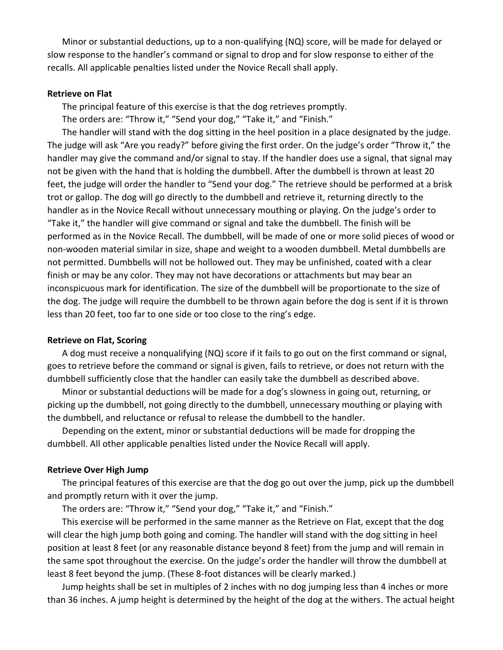Minor or substantial deductions, up to a non-qualifying (NQ) score, will be made for delayed or slow response to the handler's command or signal to drop and for slow response to either of the recalls. All applicable penalties listed under the Novice Recall shall apply.

#### **Retrieve on Flat**

The principal feature of this exercise is that the dog retrieves promptly.

The orders are: "Throw it," "Send your dog," "Take it," and "Finish."

The handler will stand with the dog sitting in the heel position in a place designated by the judge. The judge will ask "Are you ready?" before giving the first order. On the judge's order "Throw it," the handler may give the command and/or signal to stay. If the handler does use a signal, that signal may not be given with the hand that is holding the dumbbell. After the dumbbell is thrown at least 20 feet, the judge will order the handler to "Send your dog." The retrieve should be performed at a brisk trot or gallop. The dog will go directly to the dumbbell and retrieve it, returning directly to the handler as in the Novice Recall without unnecessary mouthing or playing. On the judge's order to "Take it," the handler will give command or signal and take the dumbbell. The finish will be performed as in the Novice Recall. The dumbbell, will be made of one or more solid pieces of wood or non-wooden material similar in size, shape and weight to a wooden dumbbell. Metal dumbbells are not permitted. Dumbbells will not be hollowed out. They may be unfinished, coated with a clear finish or may be any color. They may not have decorations or attachments but may bear an inconspicuous mark for identification. The size of the dumbbell will be proportionate to the size of the dog. The judge will require the dumbbell to be thrown again before the dog is sent if it is thrown less than 20 feet, too far to one side or too close to the ring's edge.

#### **Retrieve on Flat, Scoring**

A dog must receive a nonqualifying (NQ) score if it fails to go out on the first command or signal, goes to retrieve before the command or signal is given, fails to retrieve, or does not return with the dumbbell sufficiently close that the handler can easily take the dumbbell as described above.

Minor or substantial deductions will be made for a dog's slowness in going out, returning, or picking up the dumbbell, not going directly to the dumbbell, unnecessary mouthing or playing with the dumbbell, and reluctance or refusal to release the dumbbell to the handler.

Depending on the extent, minor or substantial deductions will be made for dropping the dumbbell. All other applicable penalties listed under the Novice Recall will apply.

#### **Retrieve Over High Jump**

The principal features of this exercise are that the dog go out over the jump, pick up the dumbbell and promptly return with it over the jump.

The orders are: "Throw it," "Send your dog," "Take it," and "Finish."

This exercise will be performed in the same manner as the Retrieve on Flat, except that the dog will clear the high jump both going and coming. The handler will stand with the dog sitting in heel position at least 8 feet (or any reasonable distance beyond 8 feet) from the jump and will remain in the same spot throughout the exercise. On the judge's order the handler will throw the dumbbell at least 8 feet beyond the jump. (These 8-foot distances will be clearly marked.)

Jump heights shall be set in multiples of 2 inches with no dog jumping less than 4 inches or more than 36 inches. A jump height is determined by the height of the dog at the withers. The actual height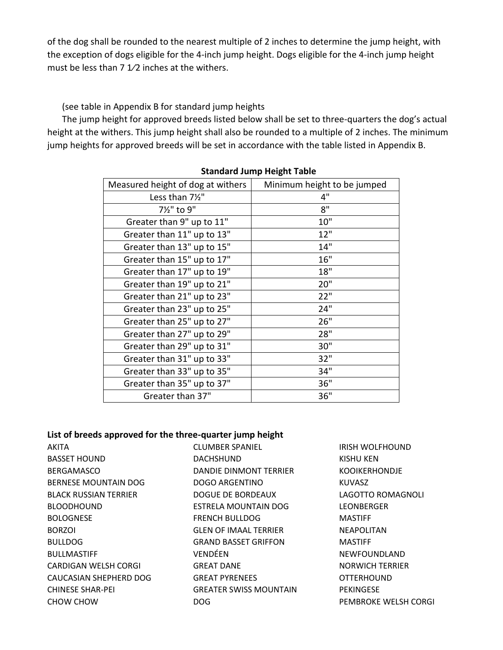of the dog shall be rounded to the nearest multiple of 2 inches to determine the jump height, with the exception of dogs eligible for the 4-inch jump height. Dogs eligible for the 4-inch jump height must be less than 7  $1/2$  inches at the withers.

(see table in Appendix B for standard jump heights

The jump height for approved breeds listed below shall be set to three-quarters the dog's actual height at the withers. This jump height shall also be rounded to a multiple of 2 inches. The minimum jump heights for approved breeds will be set in accordance with the table listed in Appendix B.

| Measured height of dog at withers | Minimum height to be jumped |
|-----------------------------------|-----------------------------|
| Less than 71/2"                   | 4"                          |
| 71/2" to 9"                       | 8"                          |
| Greater than 9" up to 11"         | 10"                         |
| Greater than 11" up to 13"        | 12"                         |
| Greater than 13" up to 15"        | 14"                         |
| Greater than 15" up to 17"        | 16"                         |
| Greater than 17" up to 19"        | 18"                         |
| Greater than 19" up to 21"        | 20"                         |
| Greater than 21" up to 23"        | 22"                         |
| Greater than 23" up to 25"        | 24"                         |
| Greater than 25" up to 27"        | 26"                         |
| Greater than 27" up to 29"        | 28"                         |
| Greater than 29" up to 31"        | 30"                         |
| Greater than 31" up to 33"        | 32"                         |
| Greater than 33" up to 35"        | 34"                         |
| Greater than 35" up to 37"        | 36"                         |
| Greater than 37"                  | 36"                         |

## **Standard Jump Height Table**

## **List of breeds approved for the three-quarter jump height**

AKITA BASSET HOUND BERGAMASCO BERNESE MOUNTAIN DOG BLACK RUSSIAN TERRIER BLOODHOUND **BOLOGNESE** BORZOI BULLDOG BULLMASTIFF CARDIGAN WELSH CORGI CAUCASIAN SHEPHERD DOG CHINESE SHAR-PEI CHOW CHOW

CLUMBER SPANIEL DACHSHUND DANDIE DINMONT TERRIER DOGO ARGENTINO DOGUE DE BORDEAUX ESTRELA MOUNTAIN DOG FRENCH BULLDOG GLEN OF IMAAL TERRIER GRAND BASSET GRIFFON VENDÉEN GREAT DANE GREAT PYRENEES GREATER SWISS MOUNTAIN DOG

IRISH WOLFHOUND KISHU KEN KOOIKERHONDJE KUVASZ LAGOTTO ROMAGNOLI LEONBERGER MASTIFF NEAPOLITAN MASTIFF NEWFOUNDLAND NORWICH TERRIER OTTERHOUND PEKINGESE PEMBROKE WELSH CORGI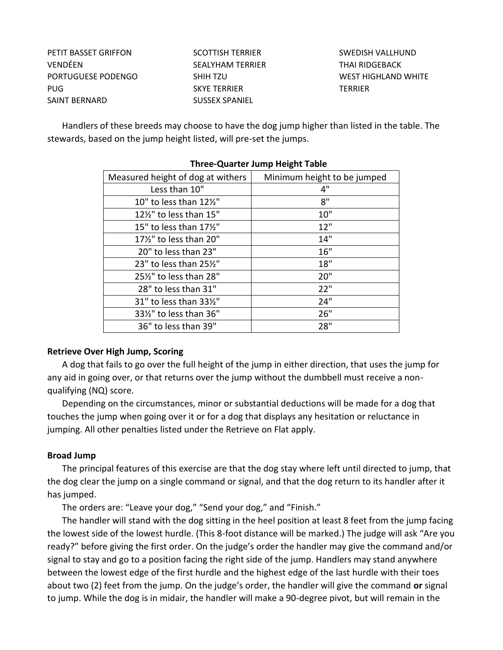PETIT BASSET GRIFFON VENDÉEN PORTUGUESE PODENGO PUG SAINT BERNARD

SCOTTISH TERRIER SEALYHAM TERRIER SHIH TZU SKYE TERRIER SUSSEX SPANIEL

SWEDISH VALLHUND THAI RIDGEBACK WEST HIGHLAND WHITE TERRIER

Handlers of these breeds may choose to have the dog jump higher than listed in the table. The stewards, based on the jump height listed, will pre-set the jumps.

| Measured height of dog at withers | Minimum height to be jumped |
|-----------------------------------|-----------------------------|
| Less than 10"                     | 4"                          |
| 10" to less than 121/2"           | 8"                          |
| 12½" to less than 15"             | 10"                         |
| 15" to less than 171/2"           | 12"                         |
| 17½" to less than 20"             | 14"                         |
| 20" to less than 23"              | 16"                         |
| 23" to less than 25%"             | 18"                         |
| 25%" to less than 28"             | 20"                         |
| 28" to less than 31"              | 22"                         |
| 31" to less than 331/2"           | 24"                         |
| 33½" to less than 36"             | 26"                         |
| 36" to less than 39"              | 28"                         |

## **Three-Quarter Jump Height Table**

## **Retrieve Over High Jump, Scoring**

A dog that fails to go over the full height of the jump in either direction, that uses the jump for any aid in going over, or that returns over the jump without the dumbbell must receive a nonqualifying (NQ) score.

Depending on the circumstances, minor or substantial deductions will be made for a dog that touches the jump when going over it or for a dog that displays any hesitation or reluctance in jumping. All other penalties listed under the Retrieve on Flat apply.

#### **Broad Jump**

The principal features of this exercise are that the dog stay where left until directed to jump, that the dog clear the jump on a single command or signal, and that the dog return to its handler after it has jumped.

The orders are: "Leave your dog," "Send your dog," and "Finish."

The handler will stand with the dog sitting in the heel position at least 8 feet from the jump facing the lowest side of the lowest hurdle. (This 8-foot distance will be marked.) The judge will ask "Are you ready?" before giving the first order. On the judge's order the handler may give the command and/or signal to stay and go to a position facing the right side of the jump. Handlers may stand anywhere between the lowest edge of the first hurdle and the highest edge of the last hurdle with their toes about two (2) feet from the jump. On the judge's order, the handler will give the command **or** signal to jump. While the dog is in midair, the handler will make a 90-degree pivot, but will remain in the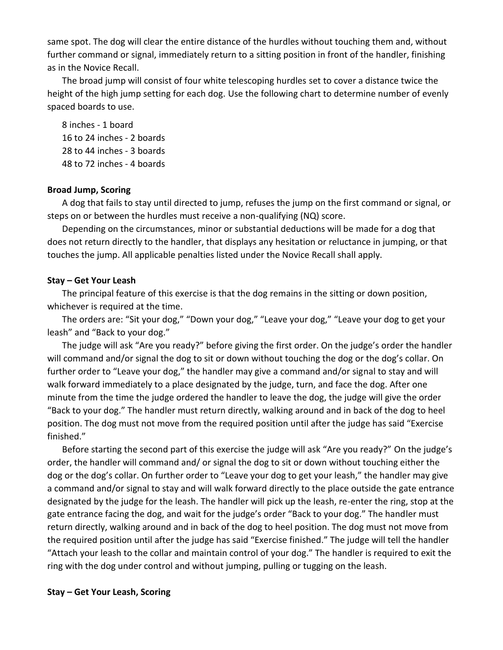same spot. The dog will clear the entire distance of the hurdles without touching them and, without further command or signal, immediately return to a sitting position in front of the handler, finishing as in the Novice Recall.

The broad jump will consist of four white telescoping hurdles set to cover a distance twice the height of the high jump setting for each dog. Use the following chart to determine number of evenly spaced boards to use.

8 inches - 1 board 16 to 24 inches - 2 boards 28 to 44 inches - 3 boards 48 to 72 inches - 4 boards

#### **Broad Jump, Scoring**

A dog that fails to stay until directed to jump, refuses the jump on the first command or signal, or steps on or between the hurdles must receive a non-qualifying (NQ) score.

Depending on the circumstances, minor or substantial deductions will be made for a dog that does not return directly to the handler, that displays any hesitation or reluctance in jumping, or that touches the jump. All applicable penalties listed under the Novice Recall shall apply.

#### **Stay – Get Your Leash**

The principal feature of this exercise is that the dog remains in the sitting or down position, whichever is required at the time.

The orders are: "Sit your dog," "Down your dog," "Leave your dog," "Leave your dog to get your leash" and "Back to your dog."

The judge will ask "Are you ready?" before giving the first order. On the judge's order the handler will command and/or signal the dog to sit or down without touching the dog or the dog's collar. On further order to "Leave your dog," the handler may give a command and/or signal to stay and will walk forward immediately to a place designated by the judge, turn, and face the dog. After one minute from the time the judge ordered the handler to leave the dog, the judge will give the order "Back to your dog." The handler must return directly, walking around and in back of the dog to heel position. The dog must not move from the required position until after the judge has said "Exercise finished."

Before starting the second part of this exercise the judge will ask "Are you ready?" On the judge's order, the handler will command and/ or signal the dog to sit or down without touching either the dog or the dog's collar. On further order to "Leave your dog to get your leash," the handler may give a command and/or signal to stay and will walk forward directly to the place outside the gate entrance designated by the judge for the leash. The handler will pick up the leash, re-enter the ring, stop at the gate entrance facing the dog, and wait for the judge's order "Back to your dog." The handler must return directly, walking around and in back of the dog to heel position. The dog must not move from the required position until after the judge has said "Exercise finished." The judge will tell the handler "Attach your leash to the collar and maintain control of your dog." The handler is required to exit the ring with the dog under control and without jumping, pulling or tugging on the leash.

#### **Stay – Get Your Leash, Scoring**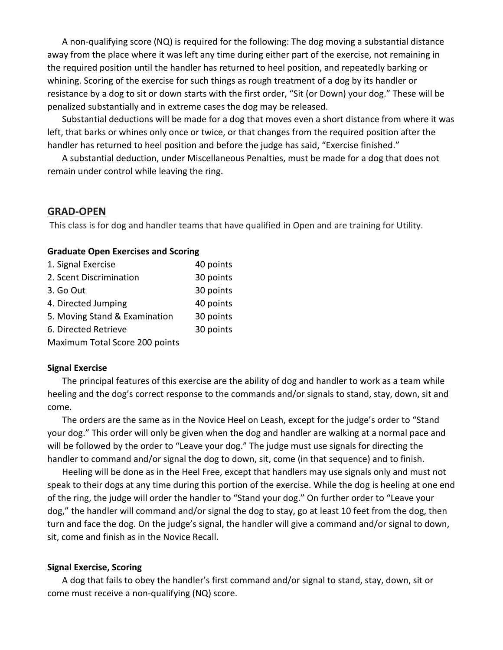A non-qualifying score (NQ) is required for the following: The dog moving a substantial distance away from the place where it was left any time during either part of the exercise, not remaining in the required position until the handler has returned to heel position, and repeatedly barking or whining. Scoring of the exercise for such things as rough treatment of a dog by its handler or resistance by a dog to sit or down starts with the first order, "Sit (or Down) your dog." These will be penalized substantially and in extreme cases the dog may be released.

Substantial deductions will be made for a dog that moves even a short distance from where it was left, that barks or whines only once or twice, or that changes from the required position after the handler has returned to heel position and before the judge has said, "Exercise finished."

A substantial deduction, under Miscellaneous Penalties, must be made for a dog that does not remain under control while leaving the ring.

## **GRAD-OPEN**

This class is for dog and handler teams that have qualified in Open and are training for Utility.

#### **Graduate Open Exercises and Scoring**

| 1. Signal Exercise             | 40 points |
|--------------------------------|-----------|
| 2. Scent Discrimination        | 30 points |
| 3. Go Out                      | 30 points |
| 4. Directed Jumping            | 40 points |
| 5. Moving Stand & Examination  | 30 points |
| 6. Directed Retrieve           | 30 points |
| Maximum Total Score 200 points |           |

#### **Signal Exercise**

The principal features of this exercise are the ability of dog and handler to work as a team while heeling and the dog's correct response to the commands and/or signals to stand, stay, down, sit and come.

The orders are the same as in the Novice Heel on Leash, except for the judge's order to "Stand your dog." This order will only be given when the dog and handler are walking at a normal pace and will be followed by the order to "Leave your dog." The judge must use signals for directing the handler to command and/or signal the dog to down, sit, come (in that sequence) and to finish.

Heeling will be done as in the Heel Free, except that handlers may use signals only and must not speak to their dogs at any time during this portion of the exercise. While the dog is heeling at one end of the ring, the judge will order the handler to "Stand your dog." On further order to "Leave your dog," the handler will command and/or signal the dog to stay, go at least 10 feet from the dog, then turn and face the dog. On the judge's signal, the handler will give a command and/or signal to down, sit, come and finish as in the Novice Recall.

#### **Signal Exercise, Scoring**

A dog that fails to obey the handler's first command and/or signal to stand, stay, down, sit or come must receive a non-qualifying (NQ) score.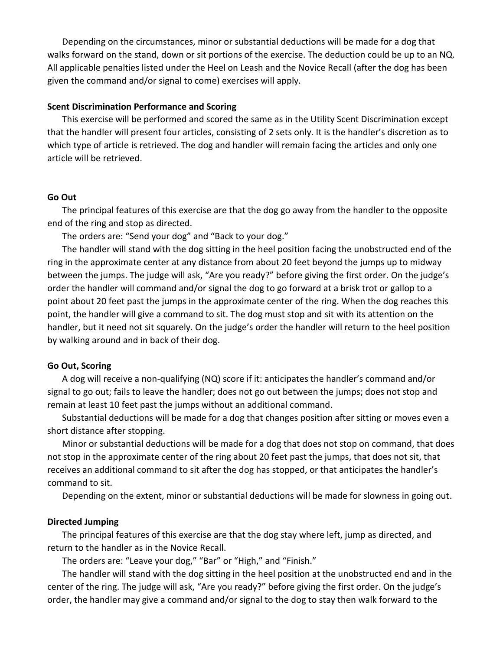Depending on the circumstances, minor or substantial deductions will be made for a dog that walks forward on the stand, down or sit portions of the exercise. The deduction could be up to an NQ. All applicable penalties listed under the Heel on Leash and the Novice Recall (after the dog has been given the command and/or signal to come) exercises will apply.

#### **Scent Discrimination Performance and Scoring**

This exercise will be performed and scored the same as in the Utility Scent Discrimination except that the handler will present four articles, consisting of 2 sets only. It is the handler's discretion as to which type of article is retrieved. The dog and handler will remain facing the articles and only one article will be retrieved.

#### **Go Out**

The principal features of this exercise are that the dog go away from the handler to the opposite end of the ring and stop as directed.

The orders are: "Send your dog" and "Back to your dog."

The handler will stand with the dog sitting in the heel position facing the unobstructed end of the ring in the approximate center at any distance from about 20 feet beyond the jumps up to midway between the jumps. The judge will ask, "Are you ready?" before giving the first order. On the judge's order the handler will command and/or signal the dog to go forward at a brisk trot or gallop to a point about 20 feet past the jumps in the approximate center of the ring. When the dog reaches this point, the handler will give a command to sit. The dog must stop and sit with its attention on the handler, but it need not sit squarely. On the judge's order the handler will return to the heel position by walking around and in back of their dog.

#### **Go Out, Scoring**

A dog will receive a non-qualifying (NQ) score if it: anticipates the handler's command and/or signal to go out; fails to leave the handler; does not go out between the jumps; does not stop and remain at least 10 feet past the jumps without an additional command.

Substantial deductions will be made for a dog that changes position after sitting or moves even a short distance after stopping.

Minor or substantial deductions will be made for a dog that does not stop on command, that does not stop in the approximate center of the ring about 20 feet past the jumps, that does not sit, that receives an additional command to sit after the dog has stopped, or that anticipates the handler's command to sit.

Depending on the extent, minor or substantial deductions will be made for slowness in going out.

#### **Directed Jumping**

The principal features of this exercise are that the dog stay where left, jump as directed, and return to the handler as in the Novice Recall.

The orders are: "Leave your dog," "Bar" or "High," and "Finish."

The handler will stand with the dog sitting in the heel position at the unobstructed end and in the center of the ring. The judge will ask, "Are you ready?" before giving the first order. On the judge's order, the handler may give a command and/or signal to the dog to stay then walk forward to the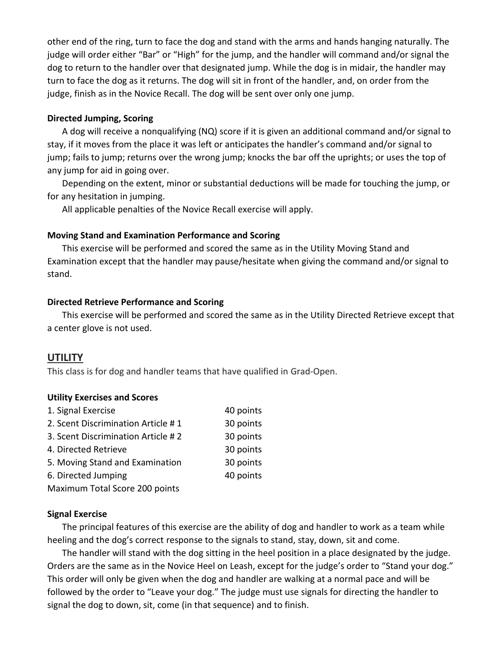other end of the ring, turn to face the dog and stand with the arms and hands hanging naturally. The judge will order either "Bar" or "High" for the jump, and the handler will command and/or signal the dog to return to the handler over that designated jump. While the dog is in midair, the handler may turn to face the dog as it returns. The dog will sit in front of the handler, and, on order from the judge, finish as in the Novice Recall. The dog will be sent over only one jump.

## **Directed Jumping, Scoring**

A dog will receive a nonqualifying (NQ) score if it is given an additional command and/or signal to stay, if it moves from the place it was left or anticipates the handler's command and/or signal to jump; fails to jump; returns over the wrong jump; knocks the bar off the uprights; or uses the top of any jump for aid in going over.

Depending on the extent, minor or substantial deductions will be made for touching the jump, or for any hesitation in jumping.

All applicable penalties of the Novice Recall exercise will apply.

## **Moving Stand and Examination Performance and Scoring**

This exercise will be performed and scored the same as in the Utility Moving Stand and Examination except that the handler may pause/hesitate when giving the command and/or signal to stand.

## **Directed Retrieve Performance and Scoring**

This exercise will be performed and scored the same as in the Utility Directed Retrieve except that a center glove is not used.

# **UTILITY**

This class is for dog and handler teams that have qualified in Grad-Open.

## **Utility Exercises and Scores**

| 1. Signal Exercise                 | 40 points |
|------------------------------------|-----------|
| 2. Scent Discrimination Article #1 | 30 points |
| 3. Scent Discrimination Article #2 | 30 points |
| 4. Directed Retrieve               | 30 points |
| 5. Moving Stand and Examination    | 30 points |
| 6. Directed Jumping                | 40 points |
| Maximum Total Score 200 points     |           |

## **Signal Exercise**

The principal features of this exercise are the ability of dog and handler to work as a team while heeling and the dog's correct response to the signals to stand, stay, down, sit and come.

The handler will stand with the dog sitting in the heel position in a place designated by the judge. Orders are the same as in the Novice Heel on Leash, except for the judge's order to "Stand your dog." This order will only be given when the dog and handler are walking at a normal pace and will be followed by the order to "Leave your dog." The judge must use signals for directing the handler to signal the dog to down, sit, come (in that sequence) and to finish.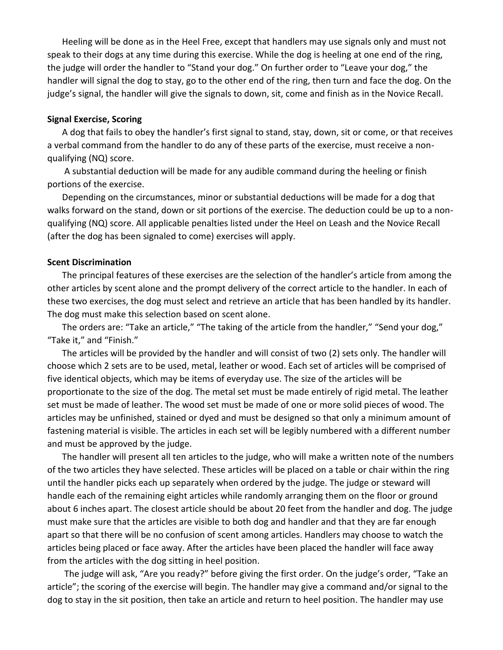Heeling will be done as in the Heel Free, except that handlers may use signals only and must not speak to their dogs at any time during this exercise. While the dog is heeling at one end of the ring, the judge will order the handler to "Stand your dog." On further order to "Leave your dog," the handler will signal the dog to stay, go to the other end of the ring, then turn and face the dog. On the judge's signal, the handler will give the signals to down, sit, come and finish as in the Novice Recall.

#### **Signal Exercise, Scoring**

A dog that fails to obey the handler's first signal to stand, stay, down, sit or come, or that receives a verbal command from the handler to do any of these parts of the exercise, must receive a nonqualifying (NQ) score.

A substantial deduction will be made for any audible command during the heeling or finish portions of the exercise.

Depending on the circumstances, minor or substantial deductions will be made for a dog that walks forward on the stand, down or sit portions of the exercise. The deduction could be up to a nonqualifying (NQ) score. All applicable penalties listed under the Heel on Leash and the Novice Recall (after the dog has been signaled to come) exercises will apply.

#### **Scent Discrimination**

The principal features of these exercises are the selection of the handler's article from among the other articles by scent alone and the prompt delivery of the correct article to the handler. In each of these two exercises, the dog must select and retrieve an article that has been handled by its handler. The dog must make this selection based on scent alone.

The orders are: "Take an article," "The taking of the article from the handler," "Send your dog," "Take it," and "Finish."

The articles will be provided by the handler and will consist of two (2) sets only. The handler will choose which 2 sets are to be used, metal, leather or wood. Each set of articles will be comprised of five identical objects, which may be items of everyday use. The size of the articles will be proportionate to the size of the dog. The metal set must be made entirely of rigid metal. The leather set must be made of leather. The wood set must be made of one or more solid pieces of wood. The articles may be unfinished, stained or dyed and must be designed so that only a minimum amount of fastening material is visible. The articles in each set will be legibly numbered with a different number and must be approved by the judge.

The handler will present all ten articles to the judge, who will make a written note of the numbers of the two articles they have selected. These articles will be placed on a table or chair within the ring until the handler picks each up separately when ordered by the judge. The judge or steward will handle each of the remaining eight articles while randomly arranging them on the floor or ground about 6 inches apart. The closest article should be about 20 feet from the handler and dog. The judge must make sure that the articles are visible to both dog and handler and that they are far enough apart so that there will be no confusion of scent among articles. Handlers may choose to watch the articles being placed or face away. After the articles have been placed the handler will face away from the articles with the dog sitting in heel position.

The judge will ask, "Are you ready?" before giving the first order. On the judge's order, "Take an article"; the scoring of the exercise will begin. The handler may give a command and/or signal to the dog to stay in the sit position, then take an article and return to heel position. The handler may use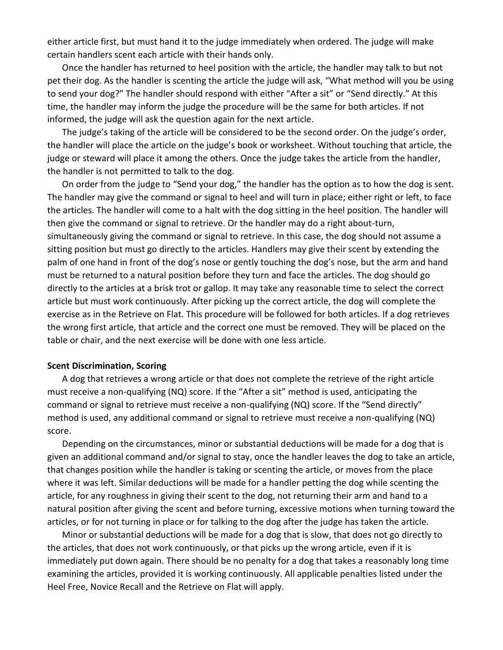either article first, but must hand it to the judge immediately when ordered. The judge will make certain handlers scent each article with their hands only.

Once the handler has returned to heel position with the article, the handler may talk to but not pet their dog. As the handler is scenting the article the judge will ask, "What method will you be using to send your dog?" The handler should respond with either "After a sit" or "Send directly." At this time, the handler may inform the judge the procedure will be the same for both articles. If not informed, the judge will ask the question again for the next article.

The judge's taking of the article will be considered to be the second order. On the judge's order, the handler will place the article on the judge's book or worksheet. Without touching that article, the judge or steward will place it among the others. Once the judge takes the article from the handler, the handler is not permitted to talk to the dog.

On order from the judge to "Send your dog," the handler has the option as to how the dog is sent. The handler may give the command or signal to heel and will turn in place; either right or left, to face the articles. The handler will come to a halt with the dog sitting in the heel position. The handler will then give the command or signal to retrieve. Or the handler may do a right about-turn, simultaneously giving the command or signal to retrieve. In this case, the dog should not assume a sitting position but must go directly to the articles. Handlers may give their scent by extending the palm of one hand in front of the dog's nose or gently touching the dog's nose, but the arm and hand must be returned to a natural position before they turn and face the articles. The dog should go directly to the articles at a brisk trot or gallop. It may take any reasonable time to select the correct article but must work continuously. After picking up the correct article, the dog will complete the exercise as in the Retrieve on Flat. This procedure will be followed for both articles. If a dog retrieves the wrong first article, that article and the correct one must be removed. They will be placed on the table or chair, and the next exercise will be done with one less article.

#### **Scent Discrimination, Scoring**

A dog that retrieves a wrong article or that does not complete the retrieve of the right article must receive a non-qualifying (NQ) score. If the "After a sit" method is used, anticipating the command or signal to retrieve must receive a non-qualifying (NQ) score. If the "Send directly" method is used, any additional command or signal to retrieve must receive a non-qualifying (NQ) score.

Depending on the circumstances, minor or substantial deductions will be made for a dog that is given an additional command and/or signal to stay, once the handler leaves the dog to take an article, that changes position while the handler is taking or scenting the article, or moves from the place where it was left. Similar deductions will be made for a handler petting the dog while scenting the article, for any roughness in giving their scent to the dog, not returning their arm and hand to a natural position after giving the scent and before turning, excessive motions when turning toward the articles, or for not turning in place or for talking to the dog after the judge has taken the article.

Minor or substantial deductions will be made for a dog that is slow, that does not go directly to the articles, that does not work continuously, or that picks up the wrong article, even if it is immediately put down again. There should be no penalty for a dog that takes a reasonably long time examining the articles, provided it is working continuously. All applicable penalties listed under the Heel Free, Novice Recall and the Retrieve on Flat will apply.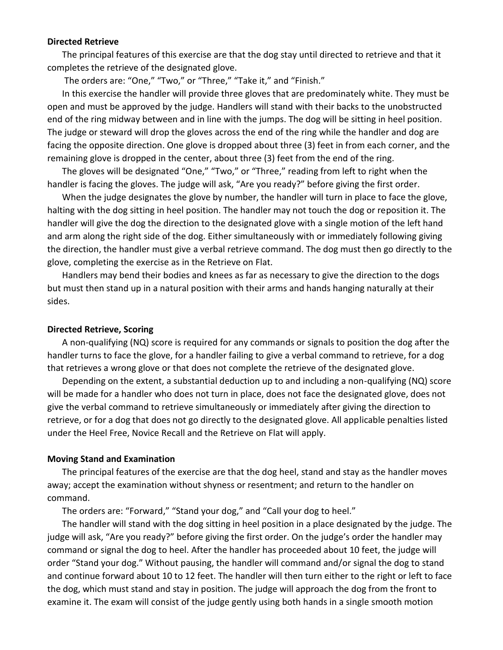#### **Directed Retrieve**

The principal features of this exercise are that the dog stay until directed to retrieve and that it completes the retrieve of the designated glove.

The orders are: "One," "Two," or "Three," "Take it," and "Finish."

In this exercise the handler will provide three gloves that are predominately white. They must be open and must be approved by the judge. Handlers will stand with their backs to the unobstructed end of the ring midway between and in line with the jumps. The dog will be sitting in heel position. The judge or steward will drop the gloves across the end of the ring while the handler and dog are facing the opposite direction. One glove is dropped about three (3) feet in from each corner, and the remaining glove is dropped in the center, about three (3) feet from the end of the ring.

The gloves will be designated "One," "Two," or "Three," reading from left to right when the handler is facing the gloves. The judge will ask, "Are you ready?" before giving the first order.

When the judge designates the glove by number, the handler will turn in place to face the glove, halting with the dog sitting in heel position. The handler may not touch the dog or reposition it. The handler will give the dog the direction to the designated glove with a single motion of the left hand and arm along the right side of the dog. Either simultaneously with or immediately following giving the direction, the handler must give a verbal retrieve command. The dog must then go directly to the glove, completing the exercise as in the Retrieve on Flat.

Handlers may bend their bodies and knees as far as necessary to give the direction to the dogs but must then stand up in a natural position with their arms and hands hanging naturally at their sides.

#### **Directed Retrieve, Scoring**

A non-qualifying (NQ) score is required for any commands or signals to position the dog after the handler turns to face the glove, for a handler failing to give a verbal command to retrieve, for a dog that retrieves a wrong glove or that does not complete the retrieve of the designated glove.

Depending on the extent, a substantial deduction up to and including a non-qualifying (NQ) score will be made for a handler who does not turn in place, does not face the designated glove, does not give the verbal command to retrieve simultaneously or immediately after giving the direction to retrieve, or for a dog that does not go directly to the designated glove. All applicable penalties listed under the Heel Free, Novice Recall and the Retrieve on Flat will apply.

#### **Moving Stand and Examination**

The principal features of the exercise are that the dog heel, stand and stay as the handler moves away; accept the examination without shyness or resentment; and return to the handler on command.

The orders are: "Forward," "Stand your dog," and "Call your dog to heel."

The handler will stand with the dog sitting in heel position in a place designated by the judge. The judge will ask, "Are you ready?" before giving the first order. On the judge's order the handler may command or signal the dog to heel. After the handler has proceeded about 10 feet, the judge will order "Stand your dog." Without pausing, the handler will command and/or signal the dog to stand and continue forward about 10 to 12 feet. The handler will then turn either to the right or left to face the dog, which must stand and stay in position. The judge will approach the dog from the front to examine it. The exam will consist of the judge gently using both hands in a single smooth motion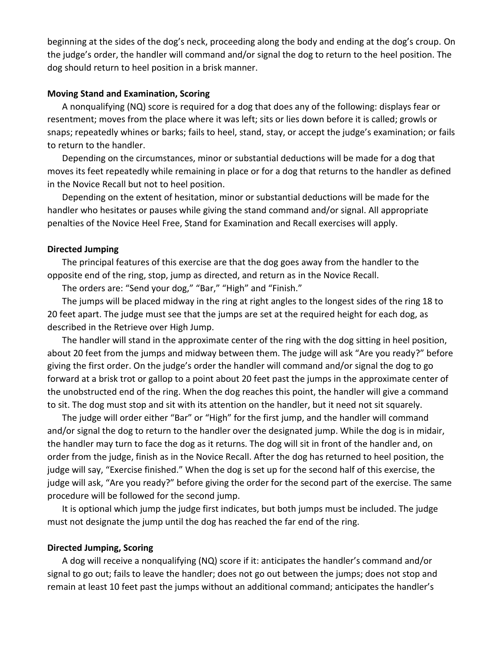beginning at the sides of the dog's neck, proceeding along the body and ending at the dog's croup. On the judge's order, the handler will command and/or signal the dog to return to the heel position. The dog should return to heel position in a brisk manner.

#### **Moving Stand and Examination, Scoring**

A nonqualifying (NQ) score is required for a dog that does any of the following: displays fear or resentment; moves from the place where it was left; sits or lies down before it is called; growls or snaps; repeatedly whines or barks; fails to heel, stand, stay, or accept the judge's examination; or fails to return to the handler.

Depending on the circumstances, minor or substantial deductions will be made for a dog that moves its feet repeatedly while remaining in place or for a dog that returns to the handler as defined in the Novice Recall but not to heel position.

Depending on the extent of hesitation, minor or substantial deductions will be made for the handler who hesitates or pauses while giving the stand command and/or signal. All appropriate penalties of the Novice Heel Free, Stand for Examination and Recall exercises will apply.

#### **Directed Jumping**

The principal features of this exercise are that the dog goes away from the handler to the opposite end of the ring, stop, jump as directed, and return as in the Novice Recall.

The orders are: "Send your dog," "Bar," "High" and "Finish."

The jumps will be placed midway in the ring at right angles to the longest sides of the ring 18 to 20 feet apart. The judge must see that the jumps are set at the required height for each dog, as described in the Retrieve over High Jump.

The handler will stand in the approximate center of the ring with the dog sitting in heel position, about 20 feet from the jumps and midway between them. The judge will ask "Are you ready?" before giving the first order. On the judge's order the handler will command and/or signal the dog to go forward at a brisk trot or gallop to a point about 20 feet past the jumps in the approximate center of the unobstructed end of the ring. When the dog reaches this point, the handler will give a command to sit. The dog must stop and sit with its attention on the handler, but it need not sit squarely.

The judge will order either "Bar" or "High" for the first jump, and the handler will command and/or signal the dog to return to the handler over the designated jump. While the dog is in midair, the handler may turn to face the dog as it returns. The dog will sit in front of the handler and, on order from the judge, finish as in the Novice Recall. After the dog has returned to heel position, the judge will say, "Exercise finished." When the dog is set up for the second half of this exercise, the judge will ask, "Are you ready?" before giving the order for the second part of the exercise. The same procedure will be followed for the second jump.

It is optional which jump the judge first indicates, but both jumps must be included. The judge must not designate the jump until the dog has reached the far end of the ring.

#### **Directed Jumping, Scoring**

A dog will receive a nonqualifying (NQ) score if it: anticipates the handler's command and/or signal to go out; fails to leave the handler; does not go out between the jumps; does not stop and remain at least 10 feet past the jumps without an additional command; anticipates the handler's